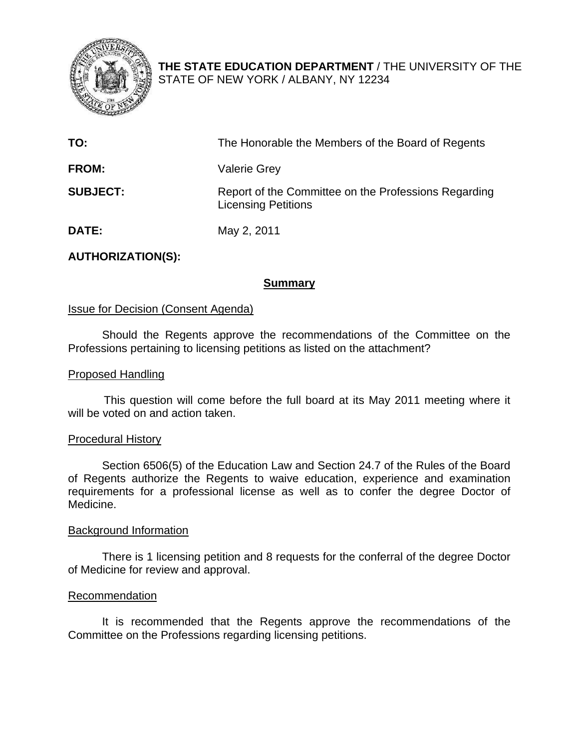

**THE STATE EDUCATION DEPARTMENT** / THE UNIVERSITY OF THE STATE OF NEW YORK / ALBANY, NY 12234

| TO:             | The Honorable the Members of the Board of Regents                                  |
|-----------------|------------------------------------------------------------------------------------|
| <b>FROM:</b>    | <b>Valerie Grey</b>                                                                |
| <b>SUBJECT:</b> | Report of the Committee on the Professions Regarding<br><b>Licensing Petitions</b> |
| <b>DATE:</b>    | May 2, 2011                                                                        |

## **AUTHORIZATION(S):**

## **Summary**

## Issue for Decision (Consent Agenda)

Should the Regents approve the recommendations of the Committee on the Professions pertaining to licensing petitions as listed on the attachment?

## Proposed Handling

This question will come before the full board at its May 2011 meeting where it will be voted on and action taken.

## Procedural History

Section 6506(5) of the Education Law and Section 24.7 of the Rules of the Board of Regents authorize the Regents to waive education, experience and examination requirements for a professional license as well as to confer the degree Doctor of Medicine.

## Background Information

There is 1 licensing petition and 8 requests for the conferral of the degree Doctor of Medicine for review and approval.

## Recommendation

It is recommended that the Regents approve the recommendations of the Committee on the Professions regarding licensing petitions.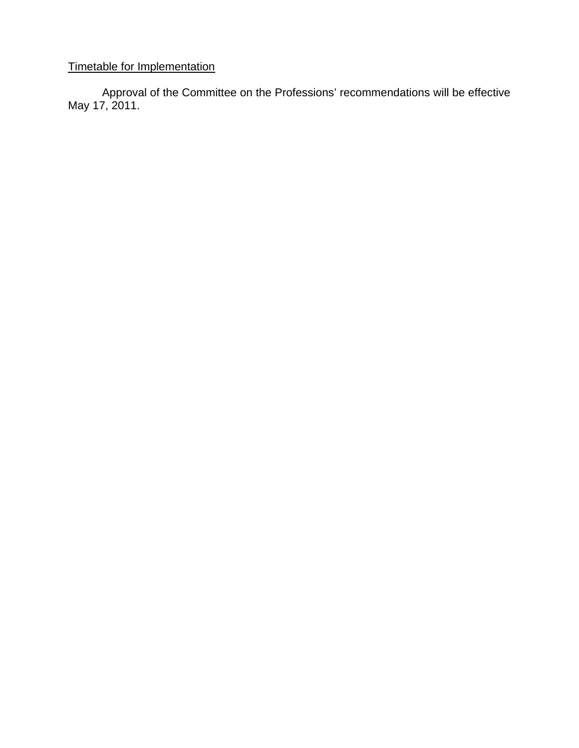## Timetable for Implementation

Approval of the Committee on the Professions' recommendations will be effective May 17, 2011.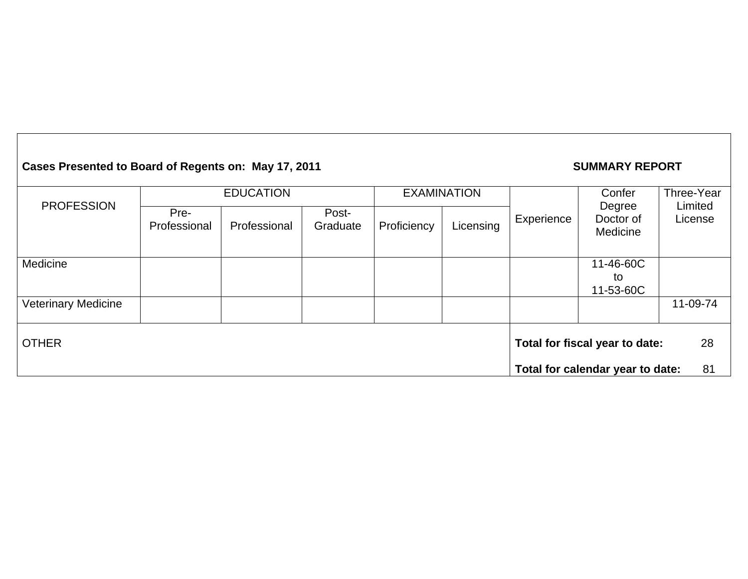# Cases Presented to Board of Regents on: May 17, 2011 **SUMMARY REPORT**

|                            | <b>EDUCATION</b>     |              |                   | <b>EXAMINATION</b>                   |           |                      | Confer                           | Three-Year         |
|----------------------------|----------------------|--------------|-------------------|--------------------------------------|-----------|----------------------|----------------------------------|--------------------|
| <b>PROFESSION</b>          | Pre-<br>Professional | Professional | Post-<br>Graduate | Proficiency                          | Licensing | Degree<br>Experience | Doctor of<br>Medicine            | Limited<br>License |
| Medicine                   |                      |              |                   |                                      |           |                      | 11-46-60C<br>to<br>11-53-60C     |                    |
| <b>Veterinary Medicine</b> |                      |              |                   |                                      |           |                      |                                  | 11-09-74           |
| <b>OTHER</b>               |                      |              |                   | Total for fiscal year to date:<br>28 |           |                      |                                  |                    |
|                            |                      |              |                   |                                      |           |                      | Total for calendar year to date: | 81                 |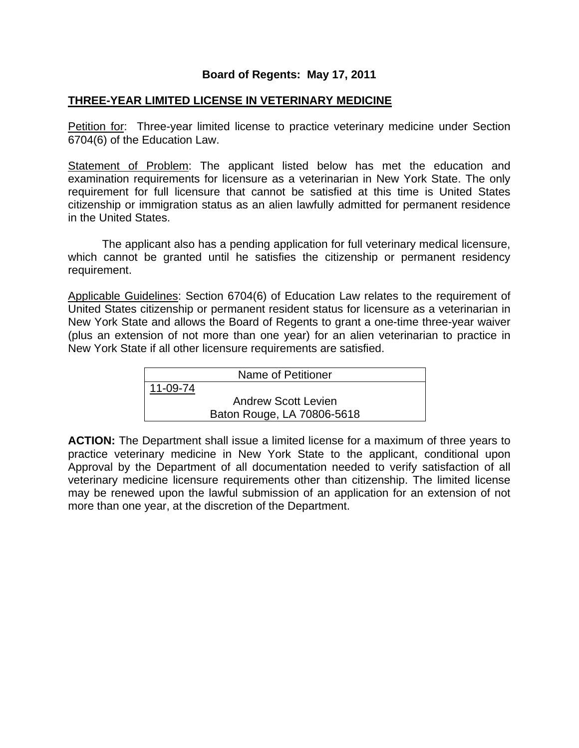## **Board of Regents: May 17, 2011**

## **THREE-YEAR LIMITED LICENSE IN VETERINARY MEDICINE**

Petition for: Three-year limited license to practice veterinary medicine under Section 6704(6) of the Education Law.

Statement of Problem: The applicant listed below has met the education and examination requirements for licensure as a veterinarian in New York State. The only requirement for full licensure that cannot be satisfied at this time is United States citizenship or immigration status as an alien lawfully admitted for permanent residence in the United States.

 The applicant also has a pending application for full veterinary medical licensure, which cannot be granted until he satisfies the citizenship or permanent residency requirement.

Applicable Guidelines: Section 6704(6) of Education Law relates to the requirement of United States citizenship or permanent resident status for licensure as a veterinarian in New York State and allows the Board of Regents to grant a one-time three-year waiver (plus an extension of not more than one year) for an alien veterinarian to practice in New York State if all other licensure requirements are satisfied.

| Name of Petitioner |                            |  |
|--------------------|----------------------------|--|
| 11-09-74           |                            |  |
|                    | <b>Andrew Scott Levien</b> |  |
|                    | Baton Rouge, LA 70806-5618 |  |

**ACTION:** The Department shall issue a limited license for a maximum of three years to practice veterinary medicine in New York State to the applicant, conditional upon Approval by the Department of all documentation needed to verify satisfaction of all veterinary medicine licensure requirements other than citizenship. The limited license may be renewed upon the lawful submission of an application for an extension of not more than one year, at the discretion of the Department.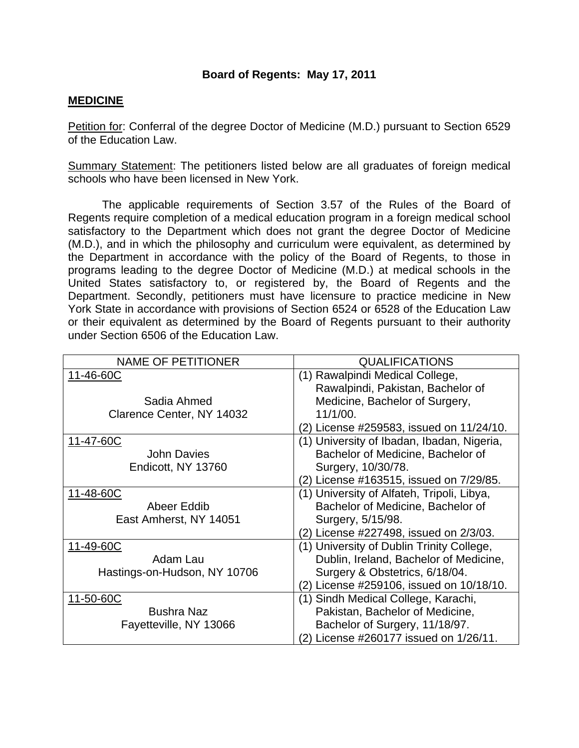## **Board of Regents: May 17, 2011**

## **MEDICINE**

Petition for: Conferral of the degree Doctor of Medicine (M.D.) pursuant to Section 6529 of the Education Law.

Summary Statement: The petitioners listed below are all graduates of foreign medical schools who have been licensed in New York.

 The applicable requirements of Section 3.57 of the Rules of the Board of Regents require completion of a medical education program in a foreign medical school satisfactory to the Department which does not grant the degree Doctor of Medicine (M.D.), and in which the philosophy and curriculum were equivalent, as determined by the Department in accordance with the policy of the Board of Regents, to those in programs leading to the degree Doctor of Medicine (M.D.) at medical schools in the United States satisfactory to, or registered by, the Board of Regents and the Department. Secondly, petitioners must have licensure to practice medicine in New York State in accordance with provisions of Section 6524 or 6528 of the Education Law or their equivalent as determined by the Board of Regents pursuant to their authority under Section 6506 of the Education Law.

| <b>NAME OF PETITIONER</b>    | <b>QUALIFICATIONS</b>                      |  |  |  |
|------------------------------|--------------------------------------------|--|--|--|
| 11-46-60C                    | (1) Rawalpindi Medical College,            |  |  |  |
|                              | Rawalpindi, Pakistan, Bachelor of          |  |  |  |
| Sadia Ahmed                  | Medicine, Bachelor of Surgery,             |  |  |  |
| Clarence Center, NY 14032    | 11/1/00.                                   |  |  |  |
|                              | (2) License #259583, issued on 11/24/10.   |  |  |  |
| 11-47-60C                    | (1) University of Ibadan, Ibadan, Nigeria, |  |  |  |
| <b>John Davies</b>           | Bachelor of Medicine, Bachelor of          |  |  |  |
| Endicott, NY 13760           | Surgery, 10/30/78.                         |  |  |  |
|                              | (2) License #163515, issued on 7/29/85.    |  |  |  |
| 11-48-60C                    | (1) University of Alfateh, Tripoli, Libya, |  |  |  |
| Abeer Eddib                  | Bachelor of Medicine, Bachelor of          |  |  |  |
| East Amherst, NY 14051       | Surgery, 5/15/98.                          |  |  |  |
|                              | (2) License #227498, issued on 2/3/03.     |  |  |  |
| 11-49-60C                    | (1) University of Dublin Trinity College,  |  |  |  |
| Adam Lau                     | Dublin, Ireland, Bachelor of Medicine,     |  |  |  |
| Hastings-on-Hudson, NY 10706 | Surgery & Obstetrics, 6/18/04.             |  |  |  |
|                              | (2) License #259106, issued on 10/18/10.   |  |  |  |
| 11-50-60C                    | (1) Sindh Medical College, Karachi,        |  |  |  |
| <b>Bushra Naz</b>            | Pakistan, Bachelor of Medicine,            |  |  |  |
| Fayetteville, NY 13066       | Bachelor of Surgery, 11/18/97.             |  |  |  |
|                              | (2) License #260177 issued on 1/26/11.     |  |  |  |